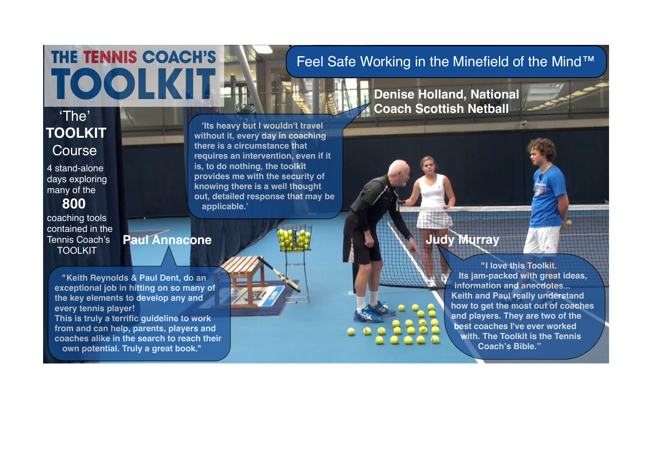## Feel Safe Working in the Minefield of the Mind™

**Denise Holland, National** 

**Coach Scottish Netball**

## ʻThe' **TOOLKIT** Course

 4 stand-alone days exploring many of the

## **800**

 coaching tools contained in the Tennis Coach's **TOOLKIT** 

**'Its heavy but I wouldn't travel without it, every day in coaching there is a circumstance that requires an intervention, even if it is, to do nothing, the toolkit provides me with the security of knowing there is a well thought out, detailed response that may be applicable.'**

# **Paul Annacone**

**"Keith Reynolds & Paul Dent, do an exceptional job in hitting on so many of the key elements to develop any and every tennis player! This is truly a terrific guideline to work from and can help, parents, players and coaches alike in the search to reach their own potential. Truly a great book."**

THE TENNIS COACH'S

**TOOL** 

**Judy Murray**

**"I love this Toolkit. Its jam-packed with great ideas, information and anecdotes... Keith and Paul really understand how to get the most out of coaches and players. They are two of the best coaches I've ever worked with. The Toolkit is the Tennis Coach's Bible."**